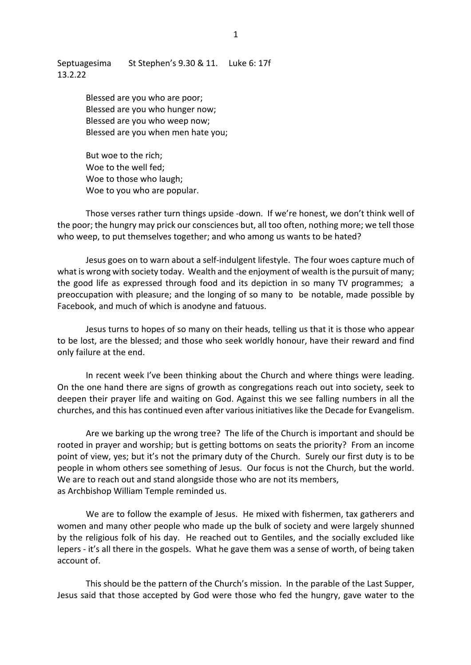Septuagesima St Stephen's 9.30 & 11. Luke 6: 17f 13.2.22

> Blessed are you who are poor; Blessed are you who hunger now; Blessed are you who weep now; Blessed are you when men hate you;

But woe to the rich; Woe to the well fed; Woe to those who laugh; Woe to you who are popular.

Those verses rather turn things upside -down. If we're honest, we don't think well of the poor; the hungry may prick our consciences but, all too often, nothing more; we tell those who weep, to put themselves together; and who among us wants to be hated?

Jesus goes on to warn about a self-indulgent lifestyle. The four woes capture much of what is wrong with society today. Wealth and the enjoyment of wealth is the pursuit of many; the good life as expressed through food and its depiction in so many TV programmes; a preoccupation with pleasure; and the longing of so many to be notable, made possible by Facebook, and much of which is anodyne and fatuous.

Jesus turns to hopes of so many on their heads, telling us that it is those who appear to be lost, are the blessed; and those who seek worldly honour, have their reward and find only failure at the end.

In recent week I've been thinking about the Church and where things were leading. On the one hand there are signs of growth as congregations reach out into society, seek to deepen their prayer life and waiting on God. Against this we see falling numbers in all the churches, and this has continued even after various initiatives like the Decade for Evangelism.

Are we barking up the wrong tree? The life of the Church is important and should be rooted in prayer and worship; but is getting bottoms on seats the priority? From an income point of view, yes; but it's not the primary duty of the Church. Surely our first duty is to be people in whom others see something of Jesus. Our focus is not the Church, but the world. We are to reach out and stand alongside those who are not its members, as Archbishop William Temple reminded us.

We are to follow the example of Jesus. He mixed with fishermen, tax gatherers and women and many other people who made up the bulk of society and were largely shunned by the religious folk of his day. He reached out to Gentiles, and the socially excluded like lepers - it's all there in the gospels. What he gave them was a sense of worth, of being taken account of.

This should be the pattern of the Church's mission. In the parable of the Last Supper, Jesus said that those accepted by God were those who fed the hungry, gave water to the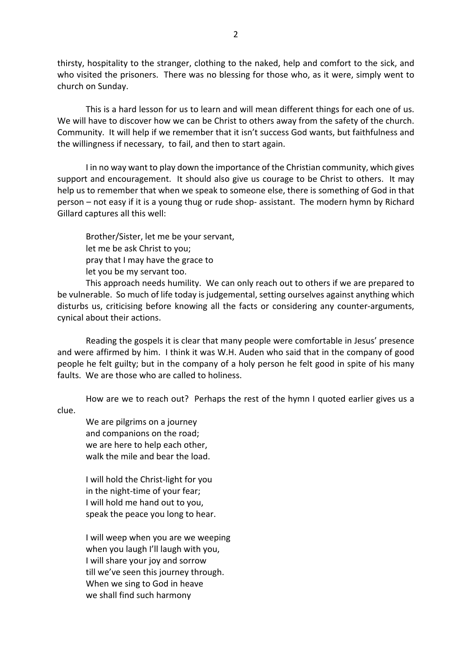thirsty, hospitality to the stranger, clothing to the naked, help and comfort to the sick, and who visited the prisoners. There was no blessing for those who, as it were, simply went to church on Sunday.

This is a hard lesson for us to learn and will mean different things for each one of us. We will have to discover how we can be Christ to others away from the safety of the church. Community. It will help if we remember that it isn't success God wants, but faithfulness and the willingness if necessary, to fail, and then to start again.

I in no way want to play down the importance of the Christian community, which gives support and encouragement. It should also give us courage to be Christ to others. It may help us to remember that when we speak to someone else, there is something of God in that person – not easy if it is a young thug or rude shop- assistant. The modern hymn by Richard Gillard captures all this well:

Brother/Sister, let me be your servant, let me be ask Christ to you; pray that I may have the grace to let you be my servant too.

This approach needs humility. We can only reach out to others if we are prepared to be vulnerable. So much of life today is judgemental, setting ourselves against anything which disturbs us, criticising before knowing all the facts or considering any counter-arguments, cynical about their actions.

Reading the gospels it is clear that many people were comfortable in Jesus' presence and were affirmed by him. I think it was W.H. Auden who said that in the company of good people he felt guilty; but in the company of a holy person he felt good in spite of his many faults. We are those who are called to holiness.

How are we to reach out? Perhaps the rest of the hymn I quoted earlier gives us a

clue.

We are pilgrims on a journey and companions on the road; we are here to help each other, walk the mile and bear the load.

I will hold the Christ-light for you in the night-time of your fear; I will hold me hand out to you, speak the peace you long to hear.

I will weep when you are we weeping when you laugh I'll laugh with you, I will share your joy and sorrow till we've seen this journey through. When we sing to God in heave we shall find such harmony